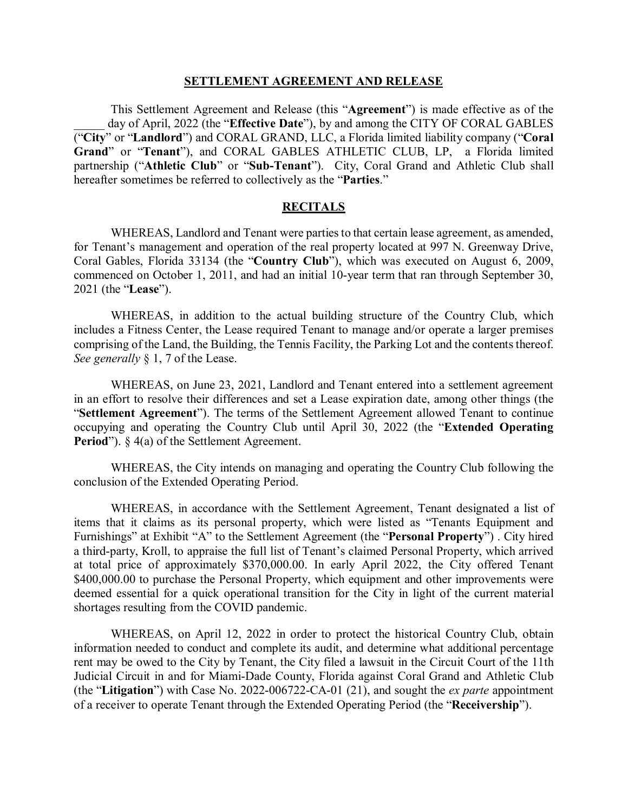#### **SETTLEMENT AGREEMENT AND RELEASE**

This Settlement Agreement and Release (this "**Agreement**") is made effective as of the day of April, 2022 (the "Effective Date"), by and among the CITY OF CORAL GABLES ("**City**" or "**Landlord**") and CORAL GRAND, LLC, a Florida limited liability company ("**Coral Grand**" or "**Tenant**"), and CORAL GABLES ATHLETIC CLUB, LP, a Florida limited partnership ("**Athletic Club**" or "**Sub-Tenant**"). City, Coral Grand and Athletic Club shall hereafter sometimes be referred to collectively as the "**Parties**."

#### **RECITALS**

WHEREAS, Landlord and Tenant were parties to that certain lease agreement, as amended, for Tenant's management and operation of the real property located at 997 N. Greenway Drive, Coral Gables, Florida 33134 (the "**Country Club**"), which was executed on August 6, 2009, commenced on October 1, 2011, and had an initial 10-year term that ran through September 30, 2021 (the "**Lease**").

WHEREAS, in addition to the actual building structure of the Country Club, which includes a Fitness Center, the Lease required Tenant to manage and/or operate a larger premises comprising of the Land, the Building, the Tennis Facility, the Parking Lot and the contents thereof. *See generally* § 1, 7 of the Lease.

WHEREAS, on June 23, 2021, Landlord and Tenant entered into a settlement agreement in an effort to resolve their differences and set a Lease expiration date, among other things (the "**Settlement Agreement**"). The terms of the Settlement Agreement allowed Tenant to continue occupying and operating the Country Club until April 30, 2022 (the "**Extended Operating Period**"). § 4(a) of the Settlement Agreement.

WHEREAS, the City intends on managing and operating the Country Club following the conclusion of the Extended Operating Period.

WHEREAS, in accordance with the Settlement Agreement, Tenant designated a list of items that it claims as its personal property, which were listed as "Tenants Equipment and Furnishings" at Exhibit "A" to the Settlement Agreement (the "**Personal Property**") . City hired a third-party, Kroll, to appraise the full list of Tenant's claimed Personal Property, which arrived at total price of approximately \$370,000.00. In early April 2022, the City offered Tenant \$400,000.00 to purchase the Personal Property, which equipment and other improvements were deemed essential for a quick operational transition for the City in light of the current material shortages resulting from the COVID pandemic.

WHEREAS, on April 12, 2022 in order to protect the historical Country Club, obtain information needed to conduct and complete its audit, and determine what additional percentage rent may be owed to the City by Tenant, the City filed a lawsuit in the Circuit Court of the 11th Judicial Circuit in and for Miami-Dade County, Florida against Coral Grand and Athletic Club (the "**Litigation**") with Case No. 2022-006722-CA-01 (21), and sought the *ex parte* appointment of a receiver to operate Tenant through the Extended Operating Period (the "**Receivership**").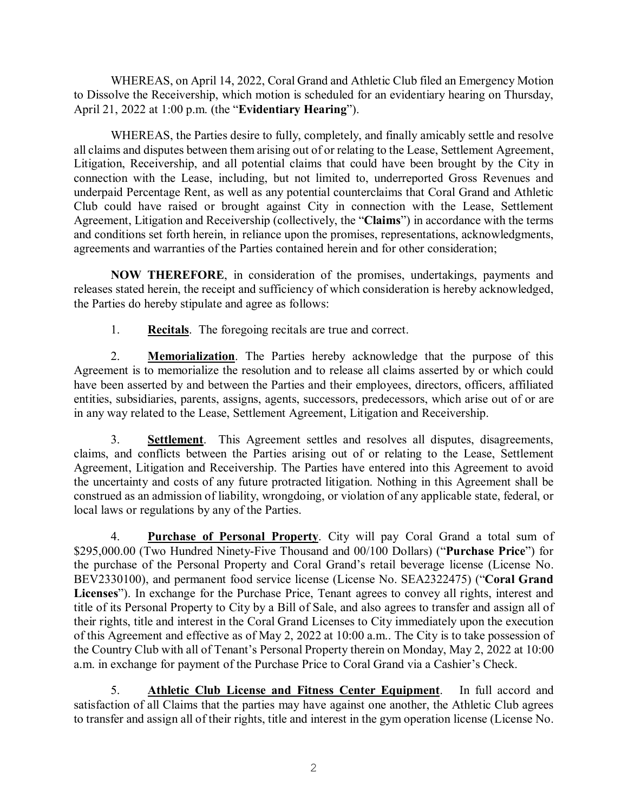WHEREAS, on April 14, 2022, Coral Grand and Athletic Club filed an Emergency Motion to Dissolve the Receivership, which motion is scheduled for an evidentiary hearing on Thursday, April 21, 2022 at 1:00 p.m. (the "**Evidentiary Hearing**").

WHEREAS, the Parties desire to fully, completely, and finally amicably settle and resolve all claims and disputes between them arising out of or relating to the Lease, Settlement Agreement, Litigation, Receivership, and all potential claims that could have been brought by the City in connection with the Lease, including, but not limited to, underreported Gross Revenues and underpaid Percentage Rent, as well as any potential counterclaims that Coral Grand and Athletic Club could have raised or brought against City in connection with the Lease, Settlement Agreement, Litigation and Receivership (collectively, the "**Claims**") in accordance with the terms and conditions set forth herein, in reliance upon the promises, representations, acknowledgments, agreements and warranties of the Parties contained herein and for other consideration;

**NOW THEREFORE**, in consideration of the promises, undertakings, payments and releases stated herein, the receipt and sufficiency of which consideration is hereby acknowledged, the Parties do hereby stipulate and agree as follows:

1. **Recitals**. The foregoing recitals are true and correct.

2. **Memorialization**. The Parties hereby acknowledge that the purpose of this Agreement is to memorialize the resolution and to release all claims asserted by or which could have been asserted by and between the Parties and their employees, directors, officers, affiliated entities, subsidiaries, parents, assigns, agents, successors, predecessors, which arise out of or are in any way related to the Lease, Settlement Agreement, Litigation and Receivership.

3. **Settlement**. This Agreement settles and resolves all disputes, disagreements, claims, and conflicts between the Parties arising out of or relating to the Lease, Settlement Agreement, Litigation and Receivership. The Parties have entered into this Agreement to avoid the uncertainty and costs of any future protracted litigation. Nothing in this Agreement shall be construed as an admission of liability, wrongdoing, or violation of any applicable state, federal, or local laws or regulations by any of the Parties.

4. **Purchase of Personal Property**. City will pay Coral Grand a total sum of \$295,000.00 (Two Hundred Ninety-Five Thousand and 00/100 Dollars) ("**Purchase Price**") for the purchase of the Personal Property and Coral Grand's retail beverage license (License No. BEV2330100), and permanent food service license (License No. SEA2322475) ("**Coral Grand Licenses**"). In exchange for the Purchase Price, Tenant agrees to convey all rights, interest and title of its Personal Property to City by a Bill of Sale, and also agrees to transfer and assign all of their rights, title and interest in the Coral Grand Licenses to City immediately upon the execution of this Agreement and effective as of May 2, 2022 at 10:00 a.m.. The City is to take possession of the Country Club with all of Tenant's Personal Property therein on Monday, May 2, 2022 at 10:00 a.m. in exchange for payment of the Purchase Price to Coral Grand via a Cashier's Check.

5. **Athletic Club License and Fitness Center Equipment**. In full accord and satisfaction of all Claims that the parties may have against one another, the Athletic Club agrees to transfer and assign all of their rights, title and interest in the gym operation license (License No.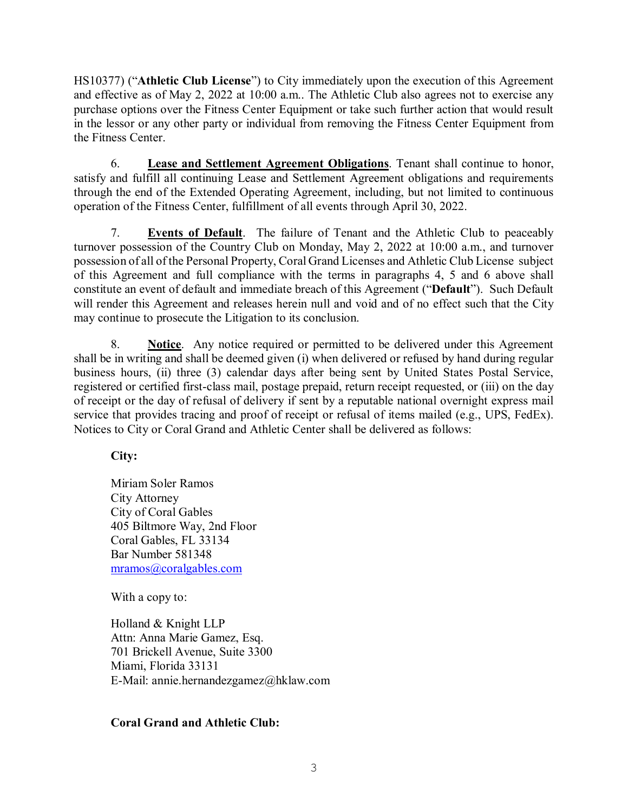HS10377) ("**Athletic Club License**") to City immediately upon the execution of this Agreement and effective as of May 2, 2022 at 10:00 a.m.. The Athletic Club also agrees not to exercise any purchase options over the Fitness Center Equipment or take such further action that would result in the lessor or any other party or individual from removing the Fitness Center Equipment from the Fitness Center.

6. **Lease and Settlement Agreement Obligations**. Tenant shall continue to honor, satisfy and fulfill all continuing Lease and Settlement Agreement obligations and requirements through the end of the Extended Operating Agreement, including, but not limited to continuous operation of the Fitness Center, fulfillment of all events through April 30, 2022.

7. **Events of Default**. The failure of Tenant and the Athletic Club to peaceably turnover possession of the Country Club on Monday, May 2, 2022 at 10:00 a.m., and turnover possession of all of the Personal Property, Coral Grand Licenses and Athletic Club License subject of this Agreement and full compliance with the terms in paragraphs 4, 5 and 6 above shall constitute an event of default and immediate breach of this Agreement ("**Default**"). Such Default will render this Agreement and releases herein null and void and of no effect such that the City may continue to prosecute the Litigation to its conclusion.

8. **Notice**. Any notice required or permitted to be delivered under this Agreement shall be in writing and shall be deemed given (i) when delivered or refused by hand during regular business hours, (ii) three (3) calendar days after being sent by United States Postal Service, registered or certified first-class mail, postage prepaid, return receipt requested, or (iii) on the day of receipt or the day of refusal of delivery if sent by a reputable national overnight express mail service that provides tracing and proof of receipt or refusal of items mailed (e.g., UPS, FedEx). Notices to City or Coral Grand and Athletic Center shall be delivered as follows:

**City:**

Miriam Soler Ramos City Attorney City of Coral Gables 405 Biltmore Way, 2nd Floor Coral Gables, FL 33134 Bar Number 581348 [mramos@coralgables.com](mailto:mramos@coralgables.com)

With a copy to:

Holland & Knight LLP Attn: Anna Marie Gamez, Esq. 701 Brickell Avenue, Suite 3300 Miami, Florida 33131 E-Mail: annie.hernandezgamez@hklaw.com

## **Coral Grand and Athletic Club:**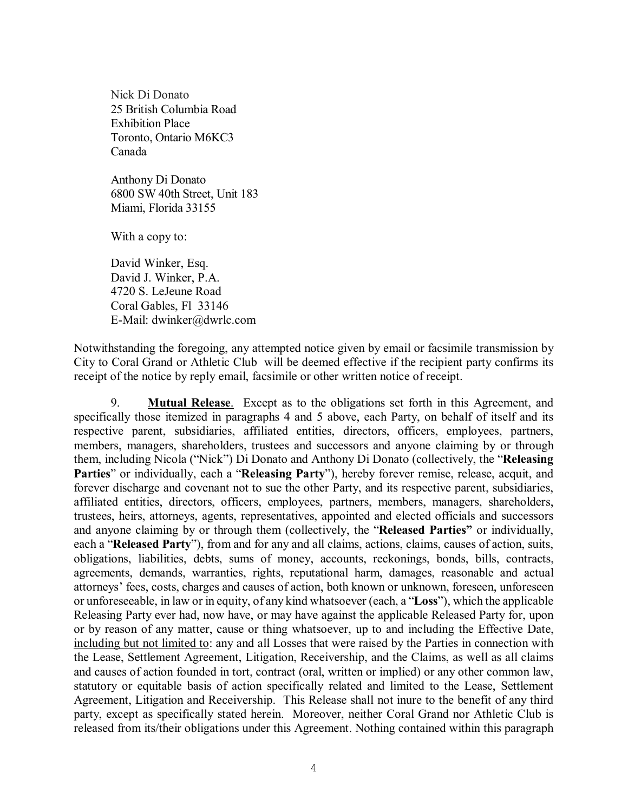Nick Di Donato 25 British Columbia Road Exhibition Place Toronto, Ontario M6KC3 Canada

Anthony Di Donato 6800 SW 40th Street, Unit 183 Miami, Florida 33155

With a copy to:

David Winker, Esq. David J. Winker, P.A. 4720 S. LeJeune Road Coral Gables, Fl 33146 E-Mail: dwinker@dwrlc.com

Notwithstanding the foregoing, any attempted notice given by email or facsimile transmission by City to Coral Grand or Athletic Club will be deemed effective if the recipient party confirms its receipt of the notice by reply email, facsimile or other written notice of receipt.

9. **Mutual Release**. Except as to the obligations set forth in this Agreement, and specifically those itemized in paragraphs 4 and 5 above, each Party, on behalf of itself and its respective parent, subsidiaries, affiliated entities, directors, officers, employees, partners, members, managers, shareholders, trustees and successors and anyone claiming by or through them, including Nicola ("Nick") Di Donato and Anthony Di Donato (collectively, the "**Releasing Parties**" or individually, each a "**Releasing Party**"), hereby forever remise, release, acquit, and forever discharge and covenant not to sue the other Party, and its respective parent, subsidiaries, affiliated entities, directors, officers, employees, partners, members, managers, shareholders, trustees, heirs, attorneys, agents, representatives, appointed and elected officials and successors and anyone claiming by or through them (collectively, the "**Released Parties"** or individually, each a "**Released Party**"), from and for any and all claims, actions, claims, causes of action, suits, obligations, liabilities, debts, sums of money, accounts, reckonings, bonds, bills, contracts, agreements, demands, warranties, rights, reputational harm, damages, reasonable and actual attorneys' fees, costs, charges and causes of action, both known or unknown, foreseen, unforeseen or unforeseeable, in law or in equity, of any kind whatsoever (each, a "**Loss**"), which the applicable Releasing Party ever had, now have, or may have against the applicable Released Party for, upon or by reason of any matter, cause or thing whatsoever, up to and including the Effective Date, including but not limited to: any and all Losses that were raised by the Parties in connection with the Lease, Settlement Agreement, Litigation, Receivership, and the Claims, as well as all claims and causes of action founded in tort, contract (oral, written or implied) or any other common law, statutory or equitable basis of action specifically related and limited to the Lease, Settlement Agreement, Litigation and Receivership. This Release shall not inure to the benefit of any third party, except as specifically stated herein. Moreover, neither Coral Grand nor Athletic Club is released from its/their obligations under this Agreement. Nothing contained within this paragraph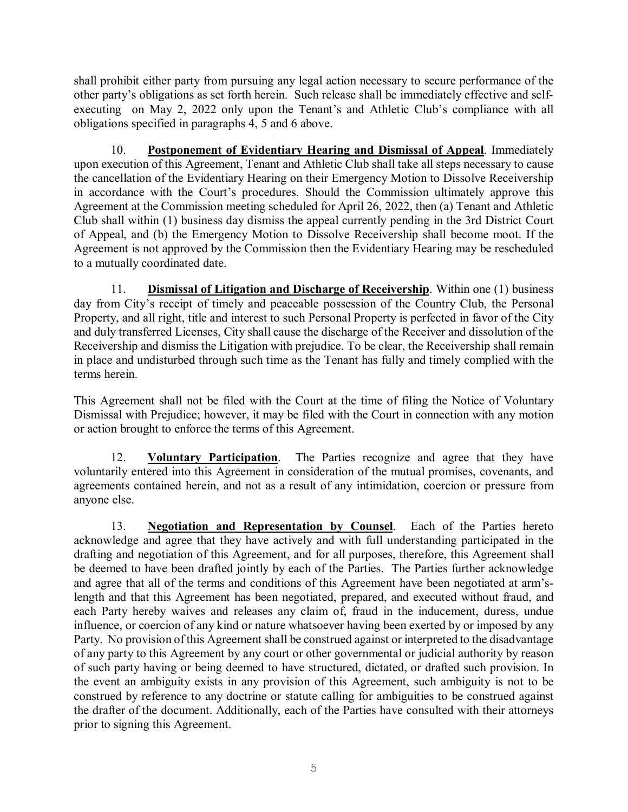shall prohibit either party from pursuing any legal action necessary to secure performance of the other party's obligations as set forth herein. Such release shall be immediately effective and selfexecuting on May 2, 2022 only upon the Tenant's and Athletic Club's compliance with all obligations specified in paragraphs 4, 5 and 6 above.

10. **Postponement of Evidentiary Hearing and Dismissal of Appeal**. Immediately upon execution of this Agreement, Tenant and Athletic Club shall take all steps necessary to cause the cancellation of the Evidentiary Hearing on their Emergency Motion to Dissolve Receivership in accordance with the Court's procedures. Should the Commission ultimately approve this Agreement at the Commission meeting scheduled for April 26, 2022, then (a) Tenant and Athletic Club shall within (1) business day dismiss the appeal currently pending in the 3rd District Court of Appeal, and (b) the Emergency Motion to Dissolve Receivership shall become moot. If the Agreement is not approved by the Commission then the Evidentiary Hearing may be rescheduled to a mutually coordinated date.

11. **Dismissal of Litigation and Discharge of Receivership**. Within one (1) business day from City's receipt of timely and peaceable possession of the Country Club, the Personal Property, and all right, title and interest to such Personal Property is perfected in favor of the City and duly transferred Licenses, City shall cause the discharge of the Receiver and dissolution of the Receivership and dismiss the Litigation with prejudice. To be clear, the Receivership shall remain in place and undisturbed through such time as the Tenant has fully and timely complied with the terms herein.

This Agreement shall not be filed with the Court at the time of filing the Notice of Voluntary Dismissal with Prejudice; however, it may be filed with the Court in connection with any motion or action brought to enforce the terms of this Agreement.

12. **Voluntary Participation**. The Parties recognize and agree that they have voluntarily entered into this Agreement in consideration of the mutual promises, covenants, and agreements contained herein, and not as a result of any intimidation, coercion or pressure from anyone else.

13. **Negotiation and Representation by Counsel**. Each of the Parties hereto acknowledge and agree that they have actively and with full understanding participated in the drafting and negotiation of this Agreement, and for all purposes, therefore, this Agreement shall be deemed to have been drafted jointly by each of the Parties. The Parties further acknowledge and agree that all of the terms and conditions of this Agreement have been negotiated at arm'slength and that this Agreement has been negotiated, prepared, and executed without fraud, and each Party hereby waives and releases any claim of, fraud in the inducement, duress, undue influence, or coercion of any kind or nature whatsoever having been exerted by or imposed by any Party. No provision of this Agreement shall be construed against or interpreted to the disadvantage of any party to this Agreement by any court or other governmental or judicial authority by reason of such party having or being deemed to have structured, dictated, or drafted such provision. In the event an ambiguity exists in any provision of this Agreement, such ambiguity is not to be construed by reference to any doctrine or statute calling for ambiguities to be construed against the drafter of the document. Additionally, each of the Parties have consulted with their attorneys prior to signing this Agreement.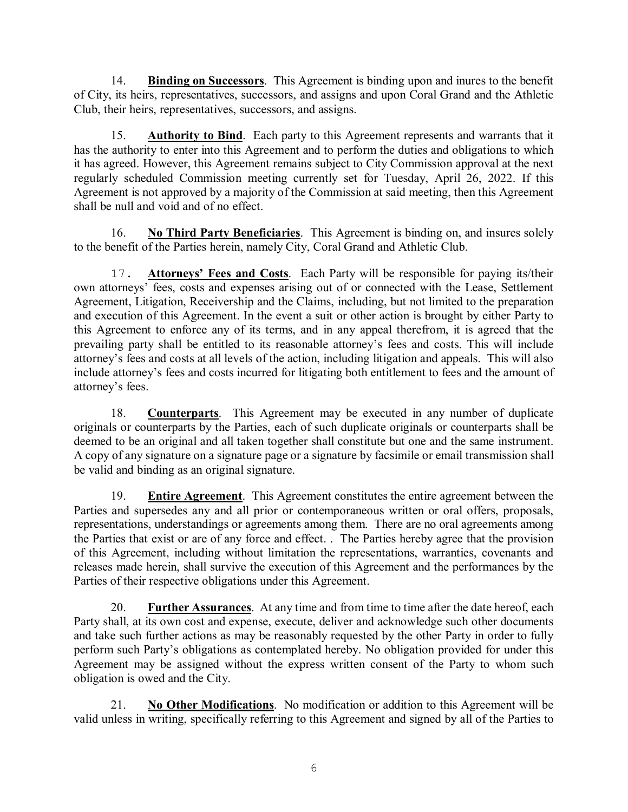14. **Binding on Successors**. This Agreement is binding upon and inures to the benefit of City, its heirs, representatives, successors, and assigns and upon Coral Grand and the Athletic Club, their heirs, representatives, successors, and assigns.

15. **Authority to Bind**. Each party to this Agreement represents and warrants that it has the authority to enter into this Agreement and to perform the duties and obligations to which it has agreed. However, this Agreement remains subject to City Commission approval at the next regularly scheduled Commission meeting currently set for Tuesday, April 26, 2022. If this Agreement is not approved by a majority of the Commission at said meeting, then this Agreement shall be null and void and of no effect.

16. **No Third Party Beneficiaries**. This Agreement is binding on, and insures solely to the benefit of the Parties herein, namely City, Coral Grand and Athletic Club.

17. **Attorneys' Fees and Costs**. Each Party will be responsible for paying its/their own attorneys' fees, costs and expenses arising out of or connected with the Lease, Settlement Agreement, Litigation, Receivership and the Claims, including, but not limited to the preparation and execution of this Agreement. In the event a suit or other action is brought by either Party to this Agreement to enforce any of its terms, and in any appeal therefrom, it is agreed that the prevailing party shall be entitled to its reasonable attorney's fees and costs. This will include attorney's fees and costs at all levels of the action, including litigation and appeals. This will also include attorney's fees and costs incurred for litigating both entitlement to fees and the amount of attorney's fees.

18. **Counterparts**. This Agreement may be executed in any number of duplicate originals or counterparts by the Parties, each of such duplicate originals or counterparts shall be deemed to be an original and all taken together shall constitute but one and the same instrument. A copy of any signature on a signature page or a signature by facsimile or email transmission shall be valid and binding as an original signature.

19. **Entire Agreement**. This Agreement constitutes the entire agreement between the Parties and supersedes any and all prior or contemporaneous written or oral offers, proposals, representations, understandings or agreements among them. There are no oral agreements among the Parties that exist or are of any force and effect. . The Parties hereby agree that the provision of this Agreement, including without limitation the representations, warranties, covenants and releases made herein, shall survive the execution of this Agreement and the performances by the Parties of their respective obligations under this Agreement.

20. **Further Assurances**. At any time and from time to time after the date hereof, each Party shall, at its own cost and expense, execute, deliver and acknowledge such other documents and take such further actions as may be reasonably requested by the other Party in order to fully perform such Party's obligations as contemplated hereby. No obligation provided for under this Agreement may be assigned without the express written consent of the Party to whom such obligation is owed and the City.

21. **No Other Modifications**. No modification or addition to this Agreement will be valid unless in writing, specifically referring to this Agreement and signed by all of the Parties to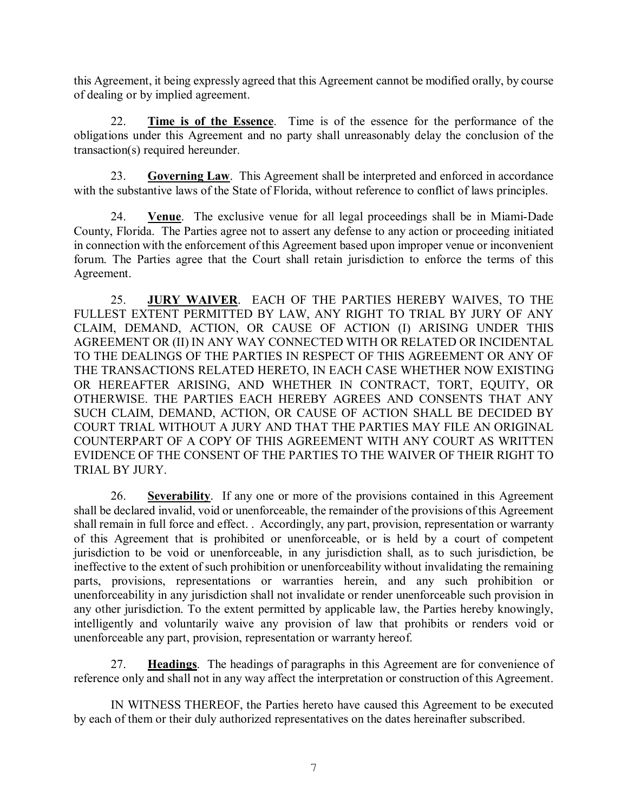this Agreement, it being expressly agreed that this Agreement cannot be modified orally, by course of dealing or by implied agreement.

22. **Time is of the Essence**. Time is of the essence for the performance of the obligations under this Agreement and no party shall unreasonably delay the conclusion of the transaction(s) required hereunder.

23. **Governing Law**. This Agreement shall be interpreted and enforced in accordance with the substantive laws of the State of Florida, without reference to conflict of laws principles.

24. **Venue**. The exclusive venue for all legal proceedings shall be in Miami-Dade County, Florida. The Parties agree not to assert any defense to any action or proceeding initiated in connection with the enforcement of this Agreement based upon improper venue or inconvenient forum. The Parties agree that the Court shall retain jurisdiction to enforce the terms of this Agreement.

25. **JURY WAIVER**. EACH OF THE PARTIES HEREBY WAIVES, TO THE FULLEST EXTENT PERMITTED BY LAW, ANY RIGHT TO TRIAL BY JURY OF ANY CLAIM, DEMAND, ACTION, OR CAUSE OF ACTION (I) ARISING UNDER THIS AGREEMENT OR (II) IN ANY WAY CONNECTED WITH OR RELATED OR INCIDENTAL TO THE DEALINGS OF THE PARTIES IN RESPECT OF THIS AGREEMENT OR ANY OF THE TRANSACTIONS RELATED HERETO, IN EACH CASE WHETHER NOW EXISTING OR HEREAFTER ARISING, AND WHETHER IN CONTRACT, TORT, EQUITY, OR OTHERWISE. THE PARTIES EACH HEREBY AGREES AND CONSENTS THAT ANY SUCH CLAIM, DEMAND, ACTION, OR CAUSE OF ACTION SHALL BE DECIDED BY COURT TRIAL WITHOUT A JURY AND THAT THE PARTIES MAY FILE AN ORIGINAL COUNTERPART OF A COPY OF THIS AGREEMENT WITH ANY COURT AS WRITTEN EVIDENCE OF THE CONSENT OF THE PARTIES TO THE WAIVER OF THEIR RIGHT TO TRIAL BY JURY.

26. **Severability**. If any one or more of the provisions contained in this Agreement shall be declared invalid, void or unenforceable, the remainder of the provisions of this Agreement shall remain in full force and effect. . Accordingly, any part, provision, representation or warranty of this Agreement that is prohibited or unenforceable, or is held by a court of competent jurisdiction to be void or unenforceable, in any jurisdiction shall, as to such jurisdiction, be ineffective to the extent of such prohibition or unenforceability without invalidating the remaining parts, provisions, representations or warranties herein, and any such prohibition or unenforceability in any jurisdiction shall not invalidate or render unenforceable such provision in any other jurisdiction. To the extent permitted by applicable law, the Parties hereby knowingly, intelligently and voluntarily waive any provision of law that prohibits or renders void or unenforceable any part, provision, representation or warranty hereof.

27. **Headings**. The headings of paragraphs in this Agreement are for convenience of reference only and shall not in any way affect the interpretation or construction of this Agreement.

IN WITNESS THEREOF, the Parties hereto have caused this Agreement to be executed by each of them or their duly authorized representatives on the dates hereinafter subscribed.